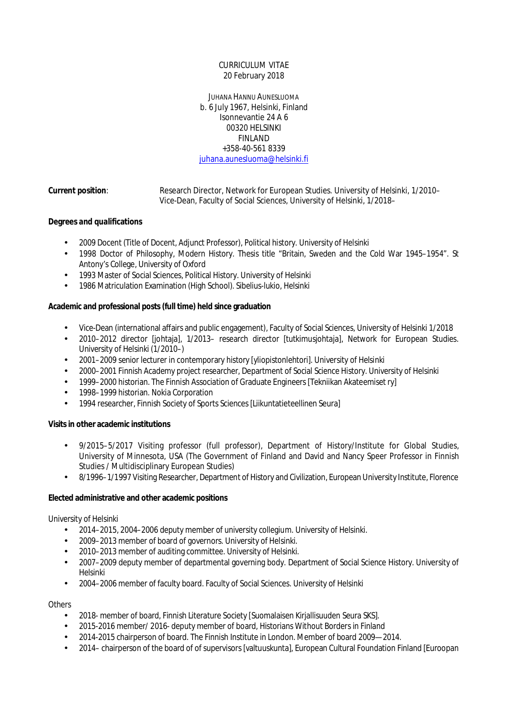## CURRICULUM VITAE 20 February 2018

JUHANA HANNU AUNESLUOMA b. 6 July 1967, Helsinki, Finland Isonnevantie 24 A 6 00320 HELSINKI FINLAND +358-40-561 8339 [juhana.aunesluoma@helsinki.fi](mailto:juhana.aunesluoma@helsinki.fi)

**Current position**: Research Director, Network for European Studies. University of Helsinki, 1/2010– Vice-Dean, Faculty of Social Sciences, University of Helsinki, 1/2018–

# **Degrees and qualifications**

- 2009 Docent (Title of Docent, Adjunct Professor), Political history. University of Helsinki
- 1998 Doctor of Philosophy, Modern History. Thesis title "Britain, Sweden and the Cold War 1945–1954". St Antony's College, University of Oxford
- 1993 Master of Social Sciences, Political History. University of Helsinki
- 1986 Matriculation Examination (High School). Sibelius-lukio, Helsinki

**Academic and professional posts (full time) held since graduation**

- Vice-Dean (international affairs and public engagement), Faculty of Social Sciences, University of Helsinki 1/2018
- 2010–2012 director [johtaja], 1/2013– research director [tutkimusjohtaja], Network for European Studies. University of Helsinki (1/2010–)
- 2001–2009 senior lecturer in contemporary history [yliopistonlehtori]. University of Helsinki
- 2000–2001 Finnish Academy project researcher, Department of Social Science History. University of Helsinki
- 1999–2000 historian. The Finnish Association of Graduate Engineers [Tekniikan Akateemiset ry]
- 1998–1999 historian. Nokia Corporation
- 1994 researcher, Finnish Society of Sports Sciences [Liikuntatieteellinen Seura]

**Visits in other academic institutions**

- 9/2015–5/2017 Visiting professor (full professor), Department of History/Institute for Global Studies, University of Minnesota, USA (The Government of Finland and David and Nancy Speer Professor in Finnish Studies / Multidisciplinary European Studies)
- 8/1996–1/1997 Visiting Researcher, Department of History and Civilization, European University Institute, Florence

**Elected administrative and other academic positions**

### University of Helsinki

- 2014–2015, 2004–2006 deputy member of university collegium. University of Helsinki.
- 2009–2013 member of board of governors. University of Helsinki.
- 2010–2013 member of auditing committee. University of Helsinki.
- 2007–2009 deputy member of departmental governing body. Department of Social Science History. University of Helsinki
- 2004–2006 member of faculty board. Faculty of Social Sciences. University of Helsinki

### **Others**

- 2018- member of board, Finnish Literature Society [Suomalaisen Kirjallisuuden Seura SKS].
- 2015-2016 member/ 2016- deputy member of board, Historians Without Borders in Finland
- 2014-2015 chairperson of board. The Finnish Institute in London. Member of board 2009—2014.
- 2014– chairperson of the board of of supervisors [valtuuskunta], European Cultural Foundation Finland [Euroopan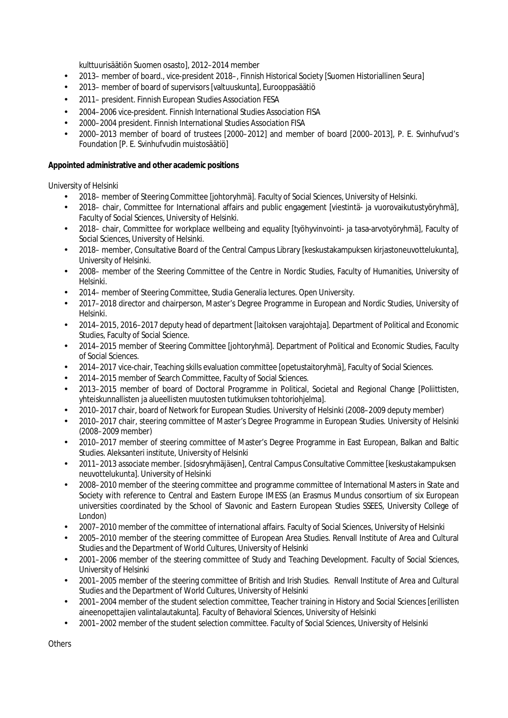kulttuurisäätiön Suomen osasto], 2012–2014 member

- 2013– member of board., vice-president 2018–, Finnish Historical Society [Suomen Historiallinen Seura]
- 2013– member of board of supervisors [valtuuskunta], Eurooppasäätiö
- 2011– president. Finnish European Studies Association FESA
- 2004–2006 vice-president. Finnish International Studies Association FISA
- 2000–2004 president. Finnish International Studies Association FISA
- 2000–2013 member of board of trustees [2000–2012] and member of board [2000–2013], P. E. Svinhufvud's Foundation [P. E. Svinhufvudin muistosäätiö]

**Appointed administrative and other academic positions**

University of Helsinki

- 2018– member of Steering Committee [johtoryhmä]. Faculty of Social Sciences, University of Helsinki.
- 2018– chair, Committee for International affairs and public engagement [viestintä- ja vuorovaikutustyöryhmä], Faculty of Social Sciences, University of Helsinki.
- 2018– chair, Committee for workplace wellbeing and equality [työhyvinvointi- ja tasa-arvotyöryhmä], Faculty of Social Sciences, University of Helsinki.
- 2018– member, Consultative Board of the Central Campus Library [keskustakampuksen kirjastoneuvottelukunta],  $\mathbf{r}$ University of Helsinki.
- 2008– member of the Steering Committee of the Centre in Nordic Studies, Faculty of Humanities, University of Helsinki.
- 2014– member of Steering Committee, Studia Generalia lectures. Open University.
- 2017–2018 director and chairperson, Master's Degree Programme in European and Nordic Studies, University of Helsinki.
- 2014–2015, 2016–2017 deputy head of department [laitoksen varajohtaja]. Department of Political and Economic Studies, Faculty of Social Science.
- 2014–2015 member of Steering Committee [johtoryhmä]. Department of Political and Economic Studies, Faculty of Social Sciences.
- 2014–2017 vice-chair, Teaching skills evaluation committee [opetustaitoryhmä], Faculty of Social Sciences.
- 2014–2015 member of Search Committee, Faculty of Social Sciences.
- 2013–2015 member of board of Doctoral Programme in Political, Societal and Regional Change [Poliittisten, yhteiskunnallisten ja alueellisten muutosten tutkimuksen tohtoriohjelma].
- 2010–2017 chair, board of Network for European Studies. University of Helsinki (2008–2009 deputy member)
- 2010–2017 chair, steering committee of Master's Degree Programme in European Studies. University of Helsinki (2008–2009 member)
- 2010–2017 member of steering committee of Master's Degree Programme in East European, Balkan and Baltic Studies. Aleksanteri institute, University of Helsinki
- 2011–2013 associate member. [sidosryhmäjäsen], Central Campus Consultative Committee [keskustakampuksen neuvottelukunta]. University of Helsinki
- 2008–2010 member of the steering committee and programme committee of International Masters in State and Society with reference to Central and Eastern Europe IMESS (an Erasmus Mundus consortium of six European universities coordinated by the School of Slavonic and Eastern European Studies SSEES, University College of London)
- 2007–2010 member of the committee of international affairs. Faculty of Social Sciences, University of Helsinki
- 2005–2010 member of the steering committee of European Area Studies. Renvall Institute of Area and Cultural Studies and the Department of World Cultures, University of Helsinki
- 2001–2006 member of the steering committee of Study and Teaching Development. Faculty of Social Sciences, University of Helsinki
- 2001–2005 member of the steering committee of British and Irish Studies. Renvall Institute of Area and Cultural Studies and the Department of World Cultures, University of Helsinki
- 2001–2004 member of the student selection committee, Teacher training in History and Social Sciences [erillisten aineenopettajien valintalautakunta]. Faculty of Behavioral Sciences, University of Helsinki
- 2001–2002 member of the student selection committee. Faculty of Social Sciences, University of Helsinki

**Others**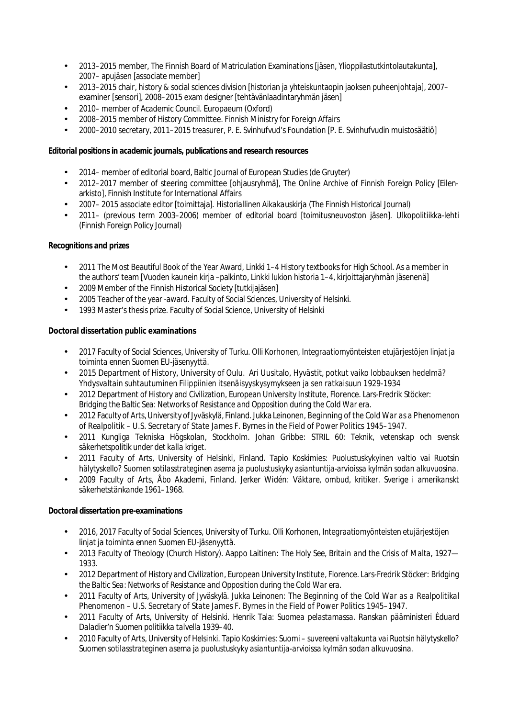- 2013–2015 member, The Finnish Board of Matriculation Examinations [jäsen, Ylioppilastutkintolautakunta],  $\ddot{\phantom{a}}$ 2007– apujäsen [associate member]
- 2013–2015 chair, history & social sciences division [historian ja yhteiskuntaopin jaoksen puheenjohtaja], 2007– examiner [sensori], 2008–2015 exam designer [tehtävänlaadintaryhmän jäsen]
- 2010– member of Academic Council. Europaeum (Oxford)
- 2008–2015 member of History Committee. Finnish Ministry for Foreign Affairs
- 2000–2010 secretary, 2011–2015 treasurer, P. E. Svinhufvud's Foundation [P. E. Svinhufvudin muistosäätiö]

**Editorial positions in academic journals, publications and research resources**

- 2014– member of editorial board, Baltic Journal of European Studies (de Gruyter)
- 2012–2017 member of steering committee [ohjausryhmä], The Online Archive of Finnish Foreign Policy [Eilenarkisto], Finnish Institute for International Affairs
- 2007– 2015 associate editor [toimittaja]. *Historiallinen Aikakauskirja* (The Finnish Historical Journal)
- 2011– (previous term 2003–2006) member of editorial board [toimitusneuvoston jäsen]. *Ulkopolitiikka*-lehti (Finnish Foreign Policy Journal)

# **Recognitions and prizes**

- 2011 The Most Beautiful Book of the Year Award, *Linkki 1–4* History textbooks for High School. As a member in the authors' team [Vuoden kaunein kirja –palkinto, Linkki lukion historia 1–4, kirjoittajaryhmän jäsenenä]
- 2009 Member of the Finnish Historical Society [tutkijajäsen]  $\mathbf{r}$
- 2005 Teacher of the year -award. Faculty of Social Sciences, University of Helsinki.
- 1993 Master's thesis prize. Faculty of Social Science, University of Helsinki

**Doctoral dissertation public examinations**

- 2017 Faculty of Social Sciences, University of Turku. Olli Korhonen, *Integraatiomyönteisten etujärjestöjen linjat ja toiminta ennen Suomen EU-jäsenyyttä.*
- 2015 Department of History, University of Oulu. Ari Uusitalo, *Hyvästit, potkut vaiko lobbauksen hedelmä? Yhdysvaltain suhtautuminen Filippiinien itsenäisyyskysymykseen ja sen ratkaisuun 1929-1934*
- 2012 Department of History and Civilization, European University Institute, Florence. Lars-Fredrik Stöcker: *Bridging the Baltic Sea: Networks of Resistance and Opposition during the Cold War era.*
- 2012 Faculty of Arts, University of Jyväskylä, Finland. Jukka Leinonen, *Beginning of the Cold War as a Phenomenon of Realpolitik – U.S. Secretary of State James F. Byrnes in the Field of Power Politics 1945–1947.*
- 2011 Kungliga Tekniska Högskolan, Stockholm. Johan Gribbe: *STRIL 60: Teknik, vetenskap och svensk säkerhetspolitik under det kalla kriget.*
- 2011 Faculty of Arts, University of Helsinki, Finland. Tapio Koskimies: *Puolustuskykyinen valtio vai Ruotsin hälytyskello? Suomen sotilasstrateginen asema ja puolustuskyky asiantuntija-arvioissa kylmän sodan alkuvuosina.*
- 2009 Faculty of Arts, Åbo Akademi, Finland. Jerker Widén: *Väktare, ombud, kritiker. Sverige i amerikanskt*  $\ddot{\phantom{a}}$ *säkerhetstänkande 1961–1968.*

# **Doctoral dissertation pre-examinations**

- 2016, 2017 Faculty of Social Sciences, University of Turku. Olli Korhonen, *Integraatiomyönteisten etujärjestöjen linjat ja toiminta ennen Suomen EU-jäsenyyttä.*
- 2013 Faculty of Theology (Church History). Aappo Laitinen: *The Holy See, Britain and the Crisis of Malta, 1927— 1933.*
- 2012 Department of History and Civilization, European University Institute, Florence. Lars-Fredrik Stöcker: *Bridging the Baltic Sea: Networks of Resistance and Opposition during the Cold War era.*
- 2011 Faculty of Arts, University of Jyväskylä. Jukka Leinonen: *The Beginning of the Cold War as a Realpolitikal Phenomenon – U.S. Secretary of State James F. Byrnes in the Field of Power Politics 1945–1947.*
- 2011 Faculty of Arts, University of Helsinki. Henrik Tala: *Suomea pelastamassa. Ranskan pääministeri Éduard Daladier'n Suomen politiikka talvella 1939–40.*
- 2010 Faculty of Arts, University of Helsinki. Tapio Koskimies: *Suomi suvereeni valtakunta vai Ruotsin hälytyskello? Suomen sotilasstrateginen asema ja puolustuskyky asiantuntija-arvioissa kylmän sodan alkuvuosina.*